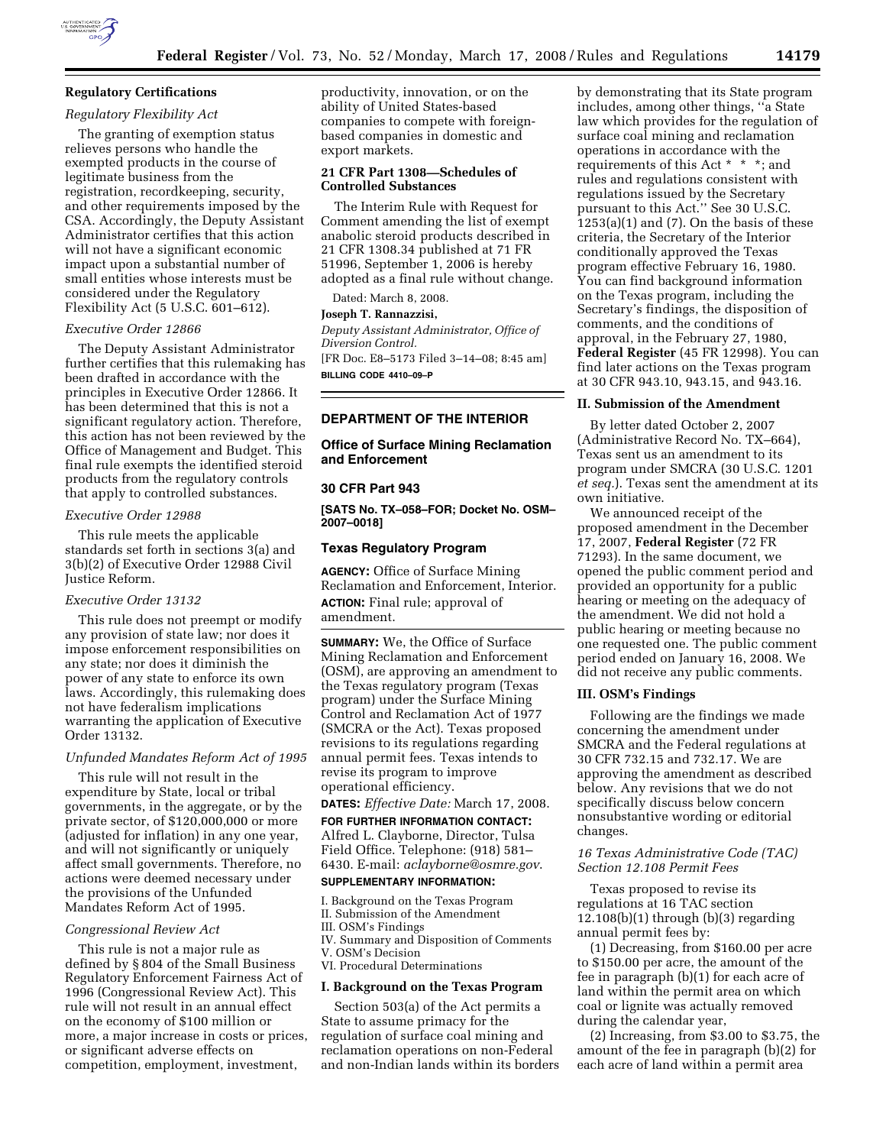

# **Regulatory Certifications**

# *Regulatory Flexibility Act*

The granting of exemption status relieves persons who handle the exempted products in the course of legitimate business from the registration, recordkeeping, security, and other requirements imposed by the CSA. Accordingly, the Deputy Assistant Administrator certifies that this action will not have a significant economic impact upon a substantial number of small entities whose interests must be considered under the Regulatory Flexibility Act (5 U.S.C. 601–612).

#### *Executive Order 12866*

The Deputy Assistant Administrator further certifies that this rulemaking has been drafted in accordance with the principles in Executive Order 12866. It has been determined that this is not a significant regulatory action. Therefore, this action has not been reviewed by the Office of Management and Budget. This final rule exempts the identified steroid products from the regulatory controls that apply to controlled substances.

#### *Executive Order 12988*

This rule meets the applicable standards set forth in sections 3(a) and 3(b)(2) of Executive Order 12988 Civil Justice Reform.

### *Executive Order 13132*

This rule does not preempt or modify any provision of state law; nor does it impose enforcement responsibilities on any state; nor does it diminish the power of any state to enforce its own laws. Accordingly, this rulemaking does not have federalism implications warranting the application of Executive Order 13132.

### *Unfunded Mandates Reform Act of 1995*

This rule will not result in the expenditure by State, local or tribal governments, in the aggregate, or by the private sector, of \$120,000,000 or more (adjusted for inflation) in any one year, and will not significantly or uniquely affect small governments. Therefore, no actions were deemed necessary under the provisions of the Unfunded Mandates Reform Act of 1995.

### *Congressional Review Act*

This rule is not a major rule as defined by § 804 of the Small Business Regulatory Enforcement Fairness Act of 1996 (Congressional Review Act). This rule will not result in an annual effect on the economy of \$100 million or more, a major increase in costs or prices, or significant adverse effects on competition, employment, investment,

productivity, innovation, or on the ability of United States-based companies to compete with foreignbased companies in domestic and export markets.

### **21 CFR Part 1308—Schedules of Controlled Substances**

The Interim Rule with Request for Comment amending the list of exempt anabolic steroid products described in 21 CFR 1308.34 published at 71 FR 51996, September 1, 2006 is hereby adopted as a final rule without change.

Dated: March 8, 2008.

### **Joseph T. Rannazzisi,**

*Deputy Assistant Administrator, Office of Diversion Control.* 

[FR Doc. E8–5173 Filed 3–14–08; 8:45 am] **BILLING CODE 4410–09–P** 

### **DEPARTMENT OF THE INTERIOR**

**Office of Surface Mining Reclamation and Enforcement** 

### **30 CFR Part 943**

**[SATS No. TX–058–FOR; Docket No. OSM– 2007–0018]** 

### **Texas Regulatory Program**

**AGENCY:** Office of Surface Mining Reclamation and Enforcement, Interior. **ACTION:** Final rule; approval of amendment.

**SUMMARY:** We, the Office of Surface Mining Reclamation and Enforcement (OSM), are approving an amendment to the Texas regulatory program (Texas program) under the Surface Mining Control and Reclamation Act of 1977 (SMCRA or the Act). Texas proposed revisions to its regulations regarding annual permit fees. Texas intends to revise its program to improve operational efficiency.

**DATES:** *Effective Date:* March 17, 2008.

**FOR FURTHER INFORMATION CONTACT:**  Alfred L. Clayborne, Director, Tulsa Field Office. Telephone: (918) 581– 6430. E-mail: *aclayborne@osmre.gov*.

# **SUPPLEMENTARY INFORMATION:**

I. Background on the Texas Program

- II. Submission of the Amendment
- III. OSM's Findings
- IV. Summary and Disposition of Comments V. OSM's Decision
- VI. Procedural Determinations

#### **I. Background on the Texas Program**

Section 503(a) of the Act permits a State to assume primacy for the regulation of surface coal mining and reclamation operations on non-Federal and non-Indian lands within its borders by demonstrating that its State program includes, among other things, ''a State law which provides for the regulation of surface coal mining and reclamation operations in accordance with the requirements of this Act \* \* \*; and rules and regulations consistent with regulations issued by the Secretary pursuant to this Act.'' See 30 U.S.C.  $1253(a)(1)$  and (7). On the basis of these criteria, the Secretary of the Interior conditionally approved the Texas program effective February 16, 1980. You can find background information on the Texas program, including the Secretary's findings, the disposition of comments, and the conditions of approval, in the February 27, 1980, **Federal Register** (45 FR 12998). You can find later actions on the Texas program at 30 CFR 943.10, 943.15, and 943.16.

### **II. Submission of the Amendment**

By letter dated October 2, 2007 (Administrative Record No. TX–664), Texas sent us an amendment to its program under SMCRA (30 U.S.C. 1201 *et seq.*). Texas sent the amendment at its own initiative.

We announced receipt of the proposed amendment in the December 17, 2007, **Federal Register** (72 FR 71293). In the same document, we opened the public comment period and provided an opportunity for a public hearing or meeting on the adequacy of the amendment. We did not hold a public hearing or meeting because no one requested one. The public comment period ended on January 16, 2008. We did not receive any public comments.

### **III. OSM's Findings**

Following are the findings we made concerning the amendment under SMCRA and the Federal regulations at 30 CFR 732.15 and 732.17. We are approving the amendment as described below. Any revisions that we do not specifically discuss below concern nonsubstantive wording or editorial changes.

### *16 Texas Administrative Code (TAC) Section 12.108 Permit Fees*

Texas proposed to revise its regulations at 16 TAC section  $12.108(b)(1)$  through  $(b)(3)$  regarding annual permit fees by:

(1) Decreasing, from \$160.00 per acre to \$150.00 per acre, the amount of the fee in paragraph (b)(1) for each acre of land within the permit area on which coal or lignite was actually removed during the calendar year,

(2) Increasing, from \$3.00 to \$3.75, the amount of the fee in paragraph (b)(2) for each acre of land within a permit area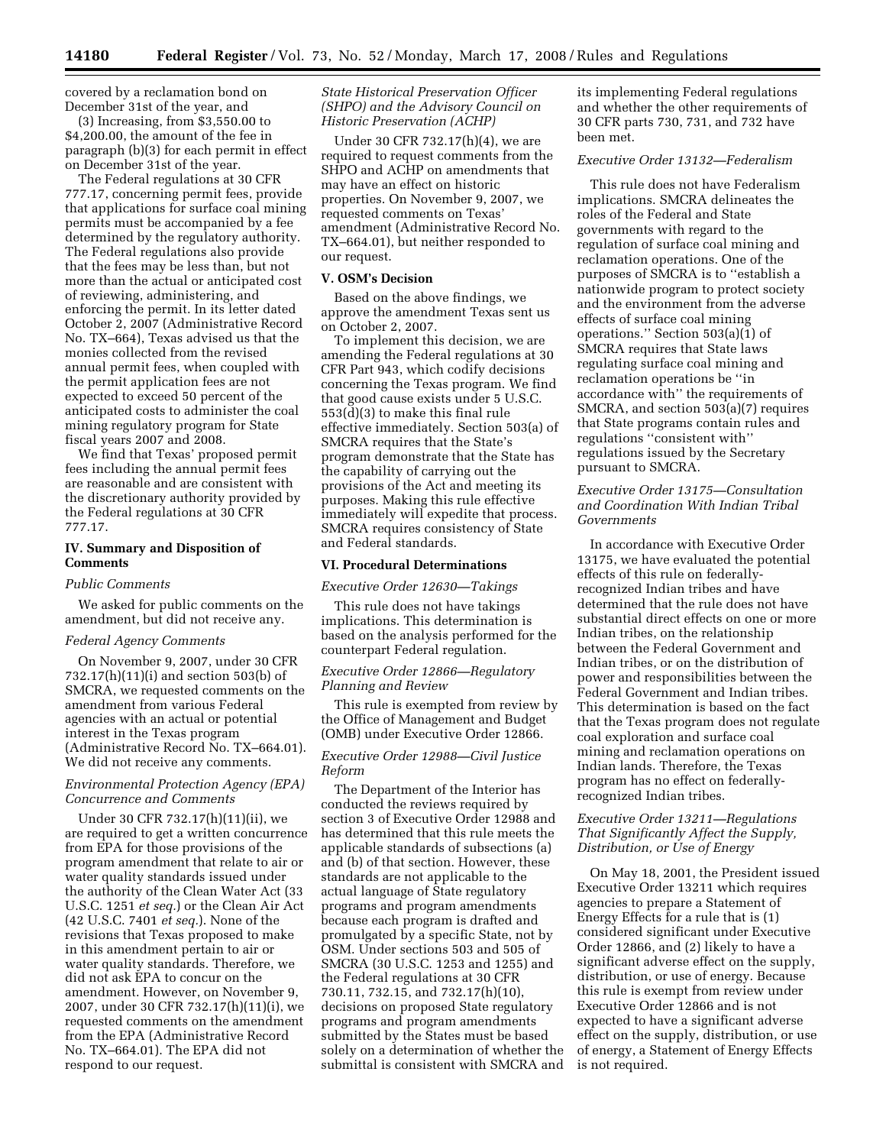covered by a reclamation bond on December 31st of the year, and

(3) Increasing, from \$3,550.00 to \$4,200.00, the amount of the fee in paragraph (b)(3) for each permit in effect on December 31st of the year.

The Federal regulations at 30 CFR 777.17, concerning permit fees, provide that applications for surface coal mining permits must be accompanied by a fee determined by the regulatory authority. The Federal regulations also provide that the fees may be less than, but not more than the actual or anticipated cost of reviewing, administering, and enforcing the permit. In its letter dated October 2, 2007 (Administrative Record No. TX–664), Texas advised us that the monies collected from the revised annual permit fees, when coupled with the permit application fees are not expected to exceed 50 percent of the anticipated costs to administer the coal mining regulatory program for State fiscal years 2007 and 2008.

We find that Texas' proposed permit fees including the annual permit fees are reasonable and are consistent with the discretionary authority provided by the Federal regulations at 30 CFR 777.17.

### **IV. Summary and Disposition of Comments**

### *Public Comments*

We asked for public comments on the amendment, but did not receive any.

#### *Federal Agency Comments*

On November 9, 2007, under 30 CFR 732.17(h)(11)(i) and section 503(b) of SMCRA, we requested comments on the amendment from various Federal agencies with an actual or potential interest in the Texas program (Administrative Record No. TX–664.01). We did not receive any comments.

## *Environmental Protection Agency (EPA) Concurrence and Comments*

Under 30 CFR 732.17(h)(11)(ii), we are required to get a written concurrence from EPA for those provisions of the program amendment that relate to air or water quality standards issued under the authority of the Clean Water Act (33 U.S.C. 1251 *et seq.*) or the Clean Air Act (42 U.S.C. 7401 *et seq.*). None of the revisions that Texas proposed to make in this amendment pertain to air or water quality standards. Therefore, we did not ask EPA to concur on the amendment. However, on November 9, 2007, under 30 CFR 732.17(h)(11)(i), we requested comments on the amendment from the EPA (Administrative Record No. TX–664.01). The EPA did not respond to our request.

*State Historical Preservation Officer (SHPO) and the Advisory Council on Historic Preservation (ACHP)* 

Under 30 CFR 732.17(h)(4), we are required to request comments from the SHPO and ACHP on amendments that may have an effect on historic properties. On November 9, 2007, we requested comments on Texas' amendment (Administrative Record No. TX–664.01), but neither responded to our request.

### **V. OSM's Decision**

Based on the above findings, we approve the amendment Texas sent us on October 2, 2007.

To implement this decision, we are amending the Federal regulations at 30 CFR Part 943, which codify decisions concerning the Texas program. We find that good cause exists under 5 U.S.C. 553(d)(3) to make this final rule effective immediately. Section 503(a) of SMCRA requires that the State's program demonstrate that the State has the capability of carrying out the provisions of the Act and meeting its purposes. Making this rule effective immediately will expedite that process. SMCRA requires consistency of State and Federal standards.

### **VI. Procedural Determinations**

### *Executive Order 12630—Takings*

This rule does not have takings implications. This determination is based on the analysis performed for the counterpart Federal regulation.

### *Executive Order 12866—Regulatory Planning and Review*

This rule is exempted from review by the Office of Management and Budget (OMB) under Executive Order 12866.

### *Executive Order 12988—Civil Justice Reform*

The Department of the Interior has conducted the reviews required by section 3 of Executive Order 12988 and has determined that this rule meets the applicable standards of subsections (a) and (b) of that section. However, these standards are not applicable to the actual language of State regulatory programs and program amendments because each program is drafted and promulgated by a specific State, not by OSM. Under sections 503 and 505 of SMCRA (30 U.S.C. 1253 and 1255) and the Federal regulations at 30 CFR 730.11, 732.15, and 732.17(h)(10), decisions on proposed State regulatory programs and program amendments submitted by the States must be based solely on a determination of whether the submittal is consistent with SMCRA and its implementing Federal regulations and whether the other requirements of 30 CFR parts 730, 731, and 732 have been met.

### *Executive Order 13132—Federalism*

This rule does not have Federalism implications. SMCRA delineates the roles of the Federal and State governments with regard to the regulation of surface coal mining and reclamation operations. One of the purposes of SMCRA is to ''establish a nationwide program to protect society and the environment from the adverse effects of surface coal mining operations." Section  $503(a)(1)$  of SMCRA requires that State laws regulating surface coal mining and reclamation operations be ''in accordance with'' the requirements of SMCRA, and section 503(a)(7) requires that State programs contain rules and regulations ''consistent with'' regulations issued by the Secretary pursuant to SMCRA.

### *Executive Order 13175—Consultation and Coordination With Indian Tribal Governments*

In accordance with Executive Order 13175, we have evaluated the potential effects of this rule on federallyrecognized Indian tribes and have determined that the rule does not have substantial direct effects on one or more Indian tribes, on the relationship between the Federal Government and Indian tribes, or on the distribution of power and responsibilities between the Federal Government and Indian tribes. This determination is based on the fact that the Texas program does not regulate coal exploration and surface coal mining and reclamation operations on Indian lands. Therefore, the Texas program has no effect on federallyrecognized Indian tribes.

### *Executive Order 13211—Regulations That Significantly Affect the Supply, Distribution, or Use of Energy*

On May 18, 2001, the President issued Executive Order 13211 which requires agencies to prepare a Statement of Energy Effects for a rule that is (1) considered significant under Executive Order 12866, and (2) likely to have a significant adverse effect on the supply, distribution, or use of energy. Because this rule is exempt from review under Executive Order 12866 and is not expected to have a significant adverse effect on the supply, distribution, or use of energy, a Statement of Energy Effects is not required.